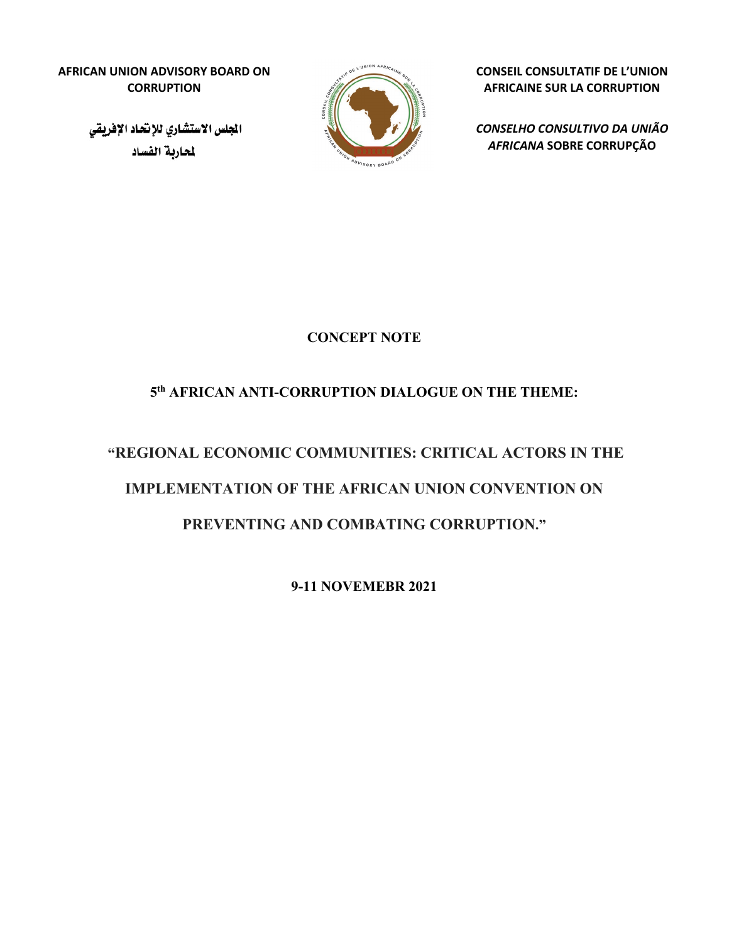**AFRICAN UNION ADVISORY BOARD ON CORRUPTION**

> الجلس الاستشاري للإنحاد الإفريقي لحاربة الفساد



**CONSEIL CONSULTATIF DE L'UNION AFRICAINE SUR LA CORRUPTION**

*CONSELHO CONSULTIVO DA UNIÃO AFRICANA* **SOBRE CORRUPÇÃO**

**CONCEPT NOTE** 

## **5th AFRICAN ANTI-CORRUPTION DIALOGUE ON THE THEME:**

# **"REGIONAL ECONOMIC COMMUNITIES: CRITICAL ACTORS IN THE IMPLEMENTATION OF THE AFRICAN UNION CONVENTION ON PREVENTING AND COMBATING CORRUPTION."**

**9-11 NOVEMEBR 2021**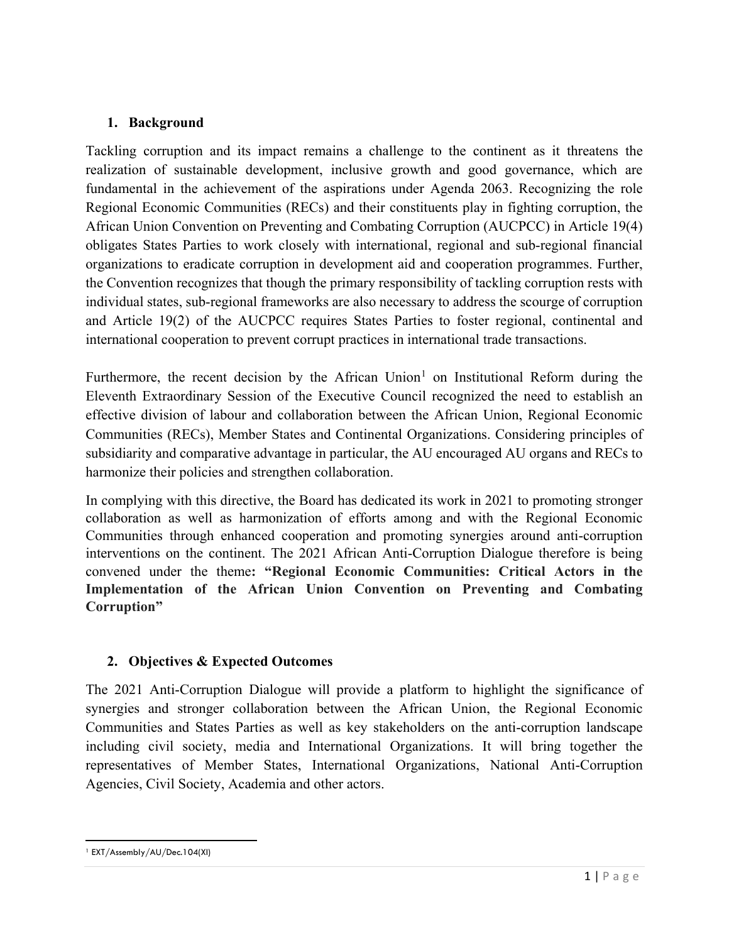#### **1. Background**

Tackling corruption and its impact remains a challenge to the continent as it threatens the realization of sustainable development, inclusive growth and good governance, which are fundamental in the achievement of the aspirations under Agenda 2063. Recognizing the role Regional Economic Communities (RECs) and their constituents play in fighting corruption, the African Union Convention on Preventing and Combating Corruption (AUCPCC) in Article 19(4) obligates States Parties to work closely with international, regional and sub-regional financial organizations to eradicate corruption in development aid and cooperation programmes. Further, the Convention recognizes that though the primary responsibility of tackling corruption rests with individual states, sub-regional frameworks are also necessary to address the scourge of corruption and Article 19(2) of the AUCPCC requires States Parties to foster regional, continental and international cooperation to prevent corrupt practices in international trade transactions.

Furthermore, the recent decision by the African Union<sup>[1](#page-1-0)</sup> on Institutional Reform during the Eleventh Extraordinary Session of the Executive Council recognized the need to establish an effective division of labour and collaboration between the African Union, Regional Economic Communities (RECs), Member States and Continental Organizations. Considering principles of subsidiarity and comparative advantage in particular, the AU encouraged AU organs and RECs to harmonize their policies and strengthen collaboration.

In complying with this directive, the Board has dedicated its work in 2021 to promoting stronger collaboration as well as harmonization of efforts among and with the Regional Economic Communities through enhanced cooperation and promoting synergies around anti-corruption interventions on the continent. The 2021 African Anti-Corruption Dialogue therefore is being convened under the theme**: "Regional Economic Communities: Critical Actors in the Implementation of the African Union Convention on Preventing and Combating Corruption"**

### **2. Objectives & Expected Outcomes**

The 2021 Anti-Corruption Dialogue will provide a platform to highlight the significance of synergies and stronger collaboration between the African Union, the Regional Economic Communities and States Parties as well as key stakeholders on the anti-corruption landscape including civil society, media and International Organizations. It will bring together the representatives of Member States, International Organizations, National Anti-Corruption Agencies, Civil Society, Academia and other actors.

<span id="page-1-0"></span> $\overline{a}$ <sup>1</sup> EXT/Assembly/AU/Dec.104(XI)